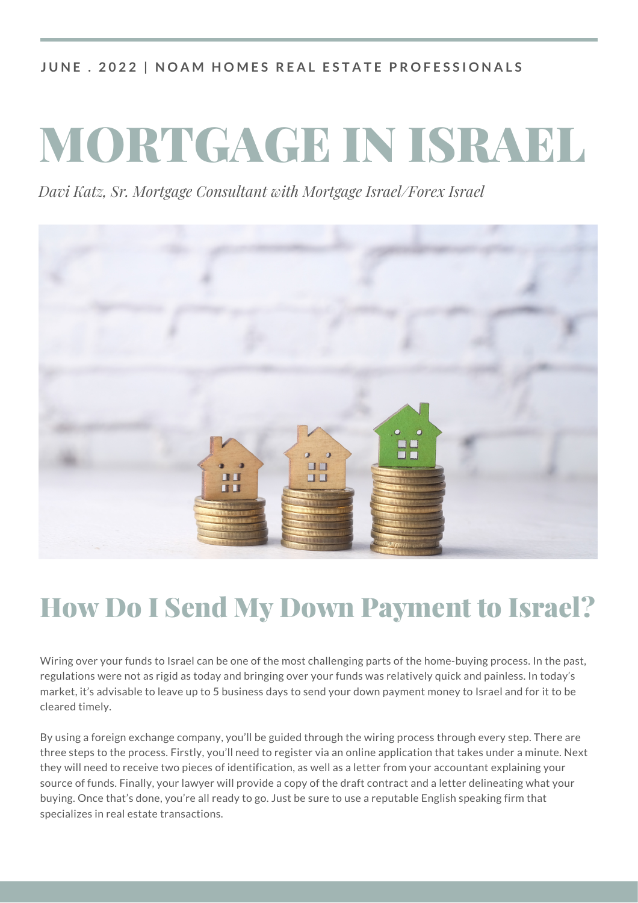#### **JUNE. 2022 | NOA[M](https://www.facebook.com/groups/noamhomes/) HOMES REAL ESTATE PROFESSIONALS**

# MORTGAGE IN ISRAEL

*Davi Katz, Sr. Mortgage Consultant with Mortgage Israel/Forex Israel*



## How Do I Send My Down Payment to Israel?

Wiring over your funds to Israel can be one of the most challenging parts of the home-buying process. In the past, regulations were not as rigid as today and bringing over your funds was relatively quick and painless. In today's market, it's advisable to leave up to 5 business days to send your down payment money to Israel and for it to be cleared timely.

By using a foreign exchange company, you'll be guided through the wiring process through every step. There are three steps to the process. Firstly, you'll need to register via an online application that takes under a minute. Next they will need to receive two pieces of identification, as well as a letter from your accountant explaining your source of funds. Finally, your lawyer will provide a copy of the draft contract and a letter delineating what your buying. Once that's done, you're all ready to go. Just be sure to use a reputable English speaking firm that specializes in real estate transactions.